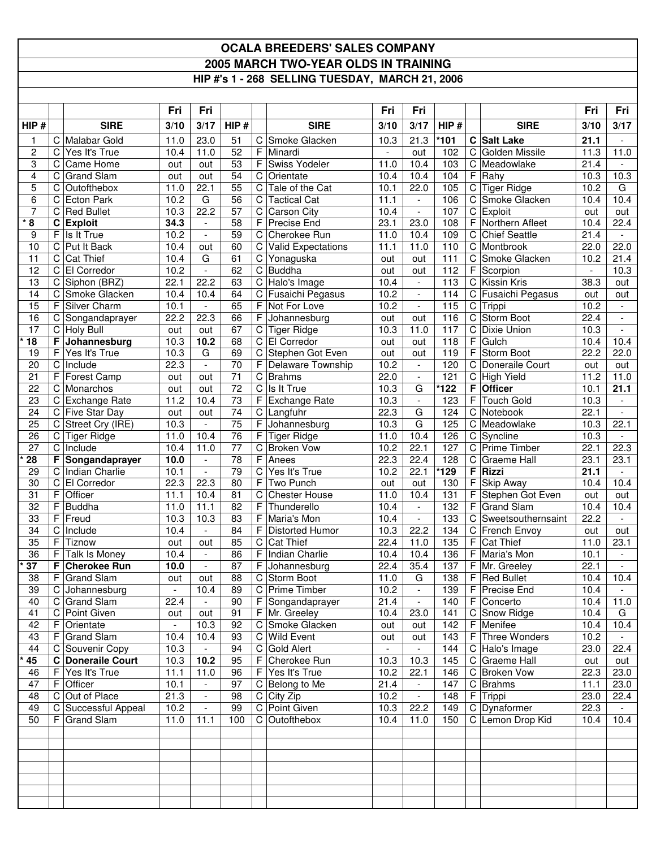## **OCALA BREEDERS' SALES COMPANY 2005 MARCH TWO-YEAR OLDS IN TRAINING HIP #'s 1 - 268 SELLING TUESDAY, MARCH 21, 2006**

|                       |             |                                      | Fri            | Fri                              |                       |             |                                         | Fri                      | Fri                                      |            |   |                                        | Fri                      | Fri                              |
|-----------------------|-------------|--------------------------------------|----------------|----------------------------------|-----------------------|-------------|-----------------------------------------|--------------------------|------------------------------------------|------------|---|----------------------------------------|--------------------------|----------------------------------|
| HIP#                  |             | <b>SIRE</b>                          | 3/10           | 3/17                             | HIP#                  |             | <b>SIRE</b>                             | 3/10                     | 3/17                                     | HIP#       |   | <b>SIRE</b>                            | 3/10                     | 3/17                             |
| $\mathbf{1}$          | C           | Malabar Gold                         | 11.0           | 23.0                             | 51                    |             | C Smoke Glacken                         | 10.3                     | 21.3                                     | $*101$     |   | C Salt Lake                            | 21.1                     | $\overline{\phantom{a}}$         |
| $\overline{c}$        | С           | Yes It's True                        | 10.4           | 11.0                             | 52                    | F           | Minardi                                 | $\overline{\phantom{a}}$ | out                                      | 102        |   | C Golden Missile                       | 11.3                     | 11.0                             |
| 3                     | С           | Came Home                            | out            | out                              | $\overline{53}$       | F.          | Swiss Yodeler                           | 11.0                     | 10.4                                     | 103        |   | C Meadowlake                           | 21.4                     |                                  |
| 4                     | C           | <b>Grand Slam</b>                    | out            | out                              | 54                    | C           | Orientate                               | 10.4                     | 10.4                                     | 104        |   | $F$ Rahy                               | 10.3                     | 10.3                             |
| 5                     | $\mathbf C$ | Outofthebox                          | 11.0           | 22.1                             | $\overline{55}$       | $\mathbf C$ | Tale of the Cat                         | 10.1                     | 22.0                                     | 105        |   | C Tiger Ridge                          | 10.2                     | G                                |
| 6                     | C           | Ecton Park                           | 10.2           | G                                | 56                    |             | C Tactical Cat                          | 11.1                     | $\overline{\phantom{a}}$                 | 106        |   | C Smoke Glacken                        | 10.4                     | 10.4                             |
| 7<br>$*3$             | C           | C Red Bullet<br><b>Exploit</b>       | 10.3<br>34.3   | 22.2<br>$\overline{\phantom{a}}$ | 57<br>$\overline{58}$ |             | C Carson City<br>F Precise End          | 10.4<br>23.1             | $\mathbb{L}$<br>23.0                     | 107<br>108 |   | C Exploit<br>F Northern Afleet         | out<br>10.4              | out<br>22.4                      |
| 9                     | F           | Is It True                           | 10.2           | $\overline{\phantom{a}}$         | $\overline{59}$       | С           | Cherokee Run                            | 11.0                     | 10.4                                     | 109        |   | C Chief Seattle                        | 21.4                     |                                  |
| 10                    | $\mathbf C$ | Put It Back                          | 10.4           | out                              | 60                    | C           | Valid Expectations                      | 11.1                     | 11.0                                     | 110        |   | C Montbrook                            | 22.0                     | 22.0                             |
| 11                    |             | C Cat Thief                          | 10.4           | G                                | 61                    |             | C Yonaguska                             | out                      | out                                      | 111        |   | C Smoke Glacken                        | 10.2                     | 21.4                             |
| 12                    |             | C El Corredor                        | 10.2           | $\blacksquare$                   | 62                    |             | C Buddha                                | out                      | out                                      | 112        | F | Scorpion                               | $\overline{\phantom{a}}$ | 10.3                             |
| 13                    |             | C Siphon (BRZ)                       | 22.1           | 22.2                             | 63                    |             | $\overline{C}$ Halo's Image             | 10.4                     | $\mathbb{L}$                             | 113        |   | C Kissin Kris                          | 38.3                     | out                              |
| 14                    |             | C Smoke Glacken                      | 10.4           | 10.4                             | 64                    |             | C Fusaichi Pegasus                      | 10.2                     | $\overline{\phantom{a}}$                 | 114        |   | C Fusaichi Pegasus                     | out                      | out                              |
| 15                    | F           | Silver Charm                         | 10.1           | $\overline{\phantom{a}}$         | 65                    | F.          | Not For Love                            | 10.2                     | $\overline{\phantom{a}}$                 | 115        |   | C Trippi                               | 10.2                     | $\overline{\phantom{a}}$         |
| 16                    | C           | Songandaprayer                       | 22.2           | 22.3                             | 66                    |             | Johannesburg                            | out                      | out                                      | 116        |   | C Storm Boot                           | 22.4                     |                                  |
| $\overline{17}$       |             | C Holy Bull                          | out            | out                              | 67                    |             | C Tiger Ridge                           | 10.3                     | 11.0                                     | 117        |   | C Dixie Union                          | 10.3                     | $\overline{\phantom{a}}$         |
| $*$ 18                |             | F Johannesburg                       | 10.3           | 10.2                             | 68                    |             | C El Corredor                           | out                      | out                                      | 118        | F | Gulch                                  | 10.4                     | 10.4                             |
| 19                    | F           | Yes It's True                        | 10.3           | G                                | 69                    |             | C Stephen Got Even                      | out                      | out                                      | 119        | F | Storm Boot                             | 22.2                     | 22.0                             |
| 20<br>$\overline{21}$ | C<br>F      | Include                              | 22.3           | $\blacksquare$                   | 70<br>$\overline{71}$ | F.          | Delaware Township                       | 10.2<br>22.0             | $\sim$<br>$\overline{\phantom{a}}$       | 120<br>121 |   | C Doneraile Court                      | out<br>11.2              | out<br>11.0                      |
| 22                    | $\mathbf C$ | Forest Camp<br>Monarchos             | out<br>out     | out<br>out                       | 72                    |             | C Brahms<br>C Is It True                | 10.3                     | G                                        | *122       |   | C High Yield<br>F Officer              | 10.1                     | 21.1                             |
| 23                    |             | C Exchange Rate                      | 11.2           | 10.4                             | 73                    | F.          | Exchange Rate                           | 10.3                     | $\mathcal{L}_{\mathcal{A}}$              | 123        |   | F Touch Gold                           | 10.3                     | $\sim$                           |
| 24                    |             | C Five Star Day                      | out            | out                              | 74                    |             | C Langfuhr                              | 22.3                     | G                                        | 124        |   | C Notebook                             | 22.1                     |                                  |
| $\overline{25}$       | C           | Street Cry (IRE)                     | 10.3           |                                  | $\overline{75}$       |             | F Johannesburg                          | $10.\overline{3}$        | G                                        | 125        |   | C Meadowlake                           | 10.3                     | 22.1                             |
| 26                    |             | C Tiger Ridge                        | 11.0           | $10.\overline{4}$                | $\overline{76}$       | F           | Tiger Ridge                             | 11.0                     | 10.4                                     | 126        |   | C Syncline                             | 10.3                     | $\sim$                           |
| 27                    | $\mathsf C$ | Include                              | 10.4           | 11.0                             | 77                    | C           | <b>Broken Vow</b>                       | 10.2                     | 22.1                                     | 127        |   | C Prime Timber                         | 22.1                     | 22.3                             |
| 28                    | F           | Songandaprayer                       | 10.0           | $\overline{\phantom{a}}$         | 78                    | F           | Anees                                   | 22.3                     | 22.4                                     | 128        | C | <b>Graeme Hall</b>                     | 23.1                     | 23.1                             |
| 29                    | $\mathbf C$ | Indian Charlie                       | 10.1           | $\overline{\phantom{a}}$         | 79                    | C           | Yes It's True                           | 10.2                     | 22.1                                     | 129        | F | <b>Rizzi</b>                           | 21.1                     | $\sim$                           |
| 30                    |             | C El Corredor                        | 22.3           | 22.3                             | 80                    | F           | Two Punch                               | out                      | out                                      | 130        | F | <b>Skip Away</b>                       | 10.4                     | 10.4                             |
| 31                    | F           | Officer                              | 11.1           | 10.4                             | 81                    | C           | <b>Chester House</b>                    | 11.0                     | 10.4                                     | 131        | F | Stephen Got Even                       | out                      | out                              |
| 32<br>33              | F           | Buddha<br>F Freud                    | 11.0           | 11.1                             | 82<br>83              |             | F Thunderello                           | 10.4<br>10.4             | $\mathbb{L}$<br>$\overline{\phantom{a}}$ | 132<br>133 |   | F Grand Slam                           | 10.4<br>22.2             | 10.4<br>$\overline{\phantom{a}}$ |
| 34                    | C           | Include                              | 10.3<br>10.4   | 10.3<br>$\overline{\phantom{a}}$ | 84                    | F           | F Maria's Mon<br><b>Distorted Humor</b> | 10.3                     | 22.2                                     | 134        |   | C Sweetsouthernsaint<br>C French Envoy | out                      | out                              |
| 35                    | F           | Tiznow                               | out            | out                              | 85                    |             | C Cat Thief                             | 22.4                     | 11.0                                     | 135        |   | $F$ Cat Thief                          | 11.0                     | 23.1                             |
| 36                    | F           | Talk Is Money                        | 10.4           | $\blacksquare$                   | 86                    | F.          | Indian Charlie                          | 10.4                     | 10.4                                     | 136        |   | F Maria's Mon                          | 10.1                     | $\blacksquare$                   |
| * 37                  | F           | <b>Cherokee Run</b>                  | 10.0           | $\overline{\phantom{a}}$         | 87                    |             | F Johannesburg                          | 22.4                     | 35.4                                     | 137        |   | F Mr. Greeley                          | 22.1                     |                                  |
| 38                    |             | F Grand Slam                         | out            | out                              | 88                    |             | C Storm Boot                            | 11.0                     | $\overline{G}$                           |            |   | 138   F Red Bullet                     | 10.4                     | 10.4                             |
| 39                    |             | C Johannesburg                       | $\blacksquare$ | 10.4                             | 89                    |             | C Prime Timber                          | 10.2                     | $\mathbb{L}$                             | 139        |   | F Precise End                          | 10.4                     | $\sim$                           |
| 40                    |             | C Grand Slam                         | 22.4           | $\overline{\phantom{a}}$         | 90                    |             | $F$ Songandaprayer                      | 21.4                     | $\overline{\phantom{a}}$                 | 140        |   | F Concerto                             | 10.4                     | 11.0                             |
| 41                    |             | C Point Given                        | out            | out                              | 91                    |             | F Mr. Greeley                           | 10.4                     | 23.0                                     | 141        |   | C Snow Ridge                           | 10.4                     | G                                |
| 42                    |             | F Orientate                          | $\blacksquare$ | 10.3                             | 92                    |             | C Smoke Glacken                         | out                      | out                                      | 142        |   | F Menifee                              | 10.4                     | 10.4                             |
| 43                    |             | F Grand Slam                         | 10.4           | 10.4                             | 93                    |             | C Wild Event                            | out                      | out                                      | 143        |   | F Three Wonders                        | 10.2                     |                                  |
| 44                    |             | C Souvenir Copy                      | 10.3           | $\overline{\phantom{a}}$         | 94                    |             | C Gold Alert<br>F Cherokee Run          |                          | $\blacksquare$                           | 144        |   | C Halo's Image                         | 23.0                     | 22.4                             |
| $*45$<br>46           |             | C Doneraile Court<br>F Yes It's True | 10.3<br>11.1   | 10.2<br>11.0                     | 95<br>96              |             | $F$ Yes It's True                       | 10.3<br>10.2             | 10.3<br>22.1                             | 145<br>146 |   | C Graeme Hall<br>C Broken Vow          | out<br>22.3              | out<br>23.0                      |
| 47                    |             | F Officer                            | 10.1           |                                  | 97                    |             | C Belong to Me                          | 21.4                     | $\blacksquare$                           | 147        |   | $C$ Brahms                             | 11.1                     | 23.0                             |
| 48                    |             | C Out of Place                       | 21.3           | $\blacksquare$                   | 98                    |             | C City Zip                              | 10.2                     | $\overline{\phantom{a}}$                 | 148        |   | F Trippi                               | 23.0                     | 22.4                             |
| 49                    |             | C Successful Appeal                  | 10.2           | $\blacksquare$                   | 99                    |             | C Point Given                           | 10.3                     | 22.2                                     | 149        |   | C Dynaformer                           | 22.3                     |                                  |
| 50                    |             | F Grand Slam                         | 11.0           | 11.1                             | 100                   |             | C Outofthebox                           | 10.4                     | 11.0                                     | 150        |   | C Lemon Drop Kid                       | 10.4                     | 10.4                             |
|                       |             |                                      |                |                                  |                       |             |                                         |                          |                                          |            |   |                                        |                          |                                  |
|                       |             |                                      |                |                                  |                       |             |                                         |                          |                                          |            |   |                                        |                          |                                  |
|                       |             |                                      |                |                                  |                       |             |                                         |                          |                                          |            |   |                                        |                          |                                  |
|                       |             |                                      |                |                                  |                       |             |                                         |                          |                                          |            |   |                                        |                          |                                  |
|                       |             |                                      |                |                                  |                       |             |                                         |                          |                                          |            |   |                                        |                          |                                  |
|                       |             |                                      |                |                                  |                       |             |                                         |                          |                                          |            |   |                                        |                          |                                  |
|                       |             |                                      |                |                                  |                       |             |                                         |                          |                                          |            |   |                                        |                          |                                  |